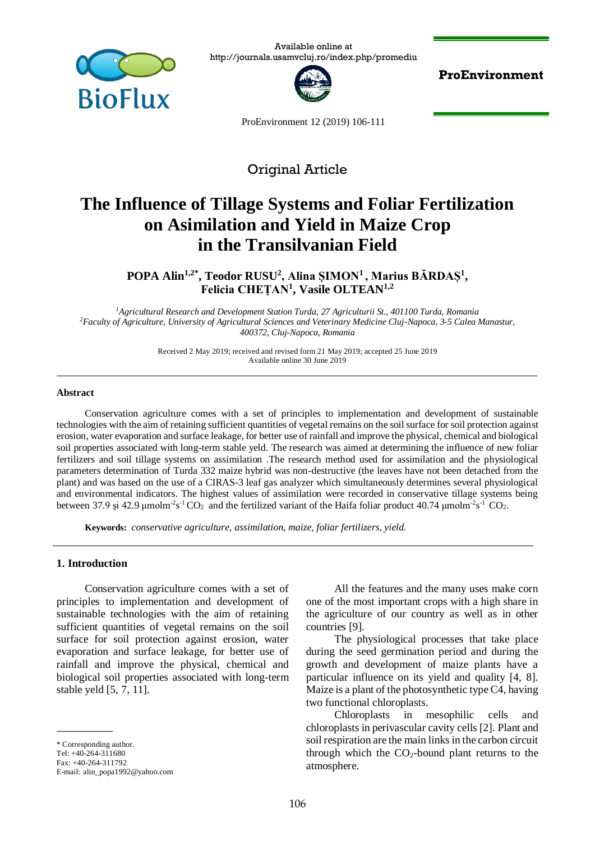

Available online at http://journals.usamvcluj.ro/index.php/promediu



**ProEnvironment**

ProEnvironment 12 (2019) 106-111

# Original Article

# **The Influence of Tillage Systems and Foliar Fertilization on Asimilation and Yield in Maize Crop in the Transilvanian Field**

**POPA Alin1,2\*, Teodor RUSU<sup>2</sup> , Alina ȘIMON<sup>1</sup>, Marius BĂRDAȘ<sup>1</sup> , Felicia CHEȚAN<sup>1</sup> , Vasile OLTEAN1,2**

*<sup>1</sup>Agricultural Research and Development Station Turda, 27 Agriculturii St., 401100 Turda, Romania <sup>2</sup>Faculty of Agriculture, University of Agricultural Sciences and Veterinary Medicine Cluj-Napoca, 3-5 Calea Manastur, 400372, Cluj-Napoca, Romania*

> Received 2 May 2019; received and revised form 21 May 2019; accepted 25 June 2019 Available online 30 June 2019

#### **Abstract**

Conservation agriculture comes with a set of principles to implementation and development of sustainable technologies with the aim of retaining sufficient quantities of vegetal remains on the soil surface for soil protection against erosion, water evaporation and surface leakage, for better use of rainfall and improve the physical, chemical and biological soil properties associated with long-term stable yeld. The research was aimed at determining the influence of new foliar fertilizers and soil tillage systems on assimilation .The research method used for assimilation and the physiological parameters determination of Turda 332 maize hybrid was non-destructive (the leaves have not been detached from the plant) and was based on the use of a CIRAS-3 leaf gas analyzer which simultaneously determines several physiological and environmental indicators. The highest values of assimilation were recorded in conservative tillage systems being between 37.9 și 42.9 µmolm<sup>-2</sup>s<sup>-1</sup> CO<sub>2</sub> and the fertilized variant of the Haifa foliar product 40.74 µmolm<sup>-2</sup>s<sup>-1</sup> CO<sub>2</sub>.

**Keywords:** *conservative agriculture, assimilation, maize, foliar fertilizers, yield.*

#### **1. Introduction**

Conservation agriculture comes with a set of principles to implementation and development of sustainable technologies with the aim of retaining sufficient quantities of vegetal remains on the soil surface for soil protection against erosion, water evaporation and surface leakage, for better use of rainfall and improve the physical, chemical and biological soil properties associated with long-term stable yeld [5, 7, 11].

\* Corresponding author. Tel: +40-264-311680 Fax: +40-264-311792 E-mail: [alin\\_popa1992@yahoo.com](mailto:alin_popa1992@yahoo.com)

All the features and the many uses make corn one of the most important crops with a high share in the agriculture of our country as well as in other countries [9].

The physiological processes that take place during the seed germination period and during the growth and development of maize plants have a particular influence on its yield and quality [4, 8]. Maize is a plant of the photosynthetic type C4, having two functional chloroplasts.

Chloroplasts in mesophilic cells and chloroplasts in perivascular cavity cells [2]. Plant and soil respiration are the main links in the carbon circuit through which the  $CO<sub>2</sub>$ -bound plant returns to the atmosphere.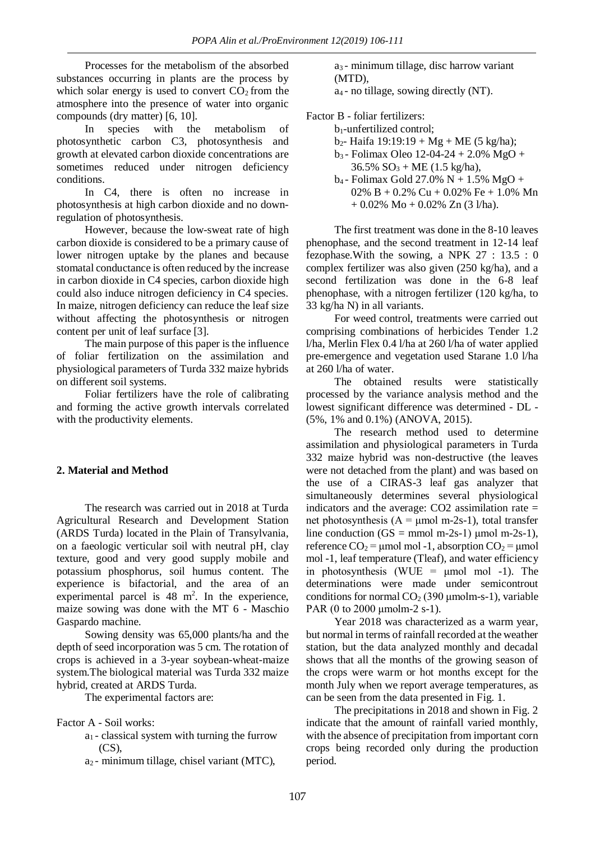Processes for the metabolism of the absorbed substances occurring in plants are the process by which solar energy is used to convert  $CO<sub>2</sub>$  from the atmosphere into the presence of water into organic compounds (dry matter) [6, 10].

In species with the metabolism of photosynthetic carbon C3, photosynthesis and growth at elevated carbon dioxide concentrations are sometimes reduced under nitrogen deficiency conditions.

In C<sub>4</sub>, there is often no increase in photosynthesis at high carbon dioxide and no downregulation of photosynthesis.

However, because the low-sweat rate of high carbon dioxide is considered to be a primary cause of lower nitrogen uptake by the planes and because stomatal conductance is often reduced by the increase in carbon dioxide in C4 species, carbon dioxide high could also induce nitrogen deficiency in C4 species. In maize, nitrogen deficiency can reduce the leaf size without affecting the photosynthesis or nitrogen content per unit of leaf surface [3].

The main purpose of this paper is the influence of foliar fertilization on the assimilation and physiological parameters of Turda 332 maize hybrids on different soil systems.

Foliar fertilizers have the role of calibrating and forming the active growth intervals correlated with the productivity elements.

## **2. Material and Method**

The research was carried out in 2018 at Turda Agricultural Research and Development Station (ARDS Turda) located in the Plain of Transylvania, on a faeologic verticular soil with neutral pH, clay texture, good and very good supply mobile and potassium phosphorus, soil humus content. The experience is bifactorial, and the area of an experimental parcel is  $48 \text{ m}^2$ . In the experience, maize sowing was done with the MT 6 - Maschio Gaspardo machine.

Sowing density was 65,000 plants/ha and the depth of seed incorporation was 5 cm. The rotation of crops is achieved in a 3-year soybean-wheat-maize system.The biological material was Turda 332 maize hybrid, created at ARDS Turda.

The experimental factors are:

Factor A - Soil works:

- a<sup>1</sup> classical system with turning the furrow (CS),
- a<sup>2</sup> minimum tillage, chisel variant (MTC),

a<sup>3</sup> - minimum tillage, disc harrow variant (MTD),

a<sup>4</sup> - no tillage, sowing directly (NT).

Factor B - foliar fertilizers:

b1-unfertilized control;

- $b_2$  Haifa 19:19:19 + Mg + ME (5 kg/ha);
- $b_3$  Folimax Oleo 12-04-24 + 2.0% MgO +  $36.5\%$  SO<sub>3</sub> + ME (1.5 kg/ha),
- b<sup>4</sup> Folimax Gold 27.0% N + 1.5% MgO + 02% B + 0.2% Cu + 0.02% Fe + 1.0% Mn  $+ 0.02\% \text{ Mo} + 0.02\% \text{ Zn}$  (3 l/ha).

The first treatment was done in the 8-10 leaves phenophase, and the second treatment in 12-14 leaf fezophase.With the sowing, a NPK 27 : 13.5 : 0 complex fertilizer was also given (250 kg/ha), and a second fertilization was done in the 6-8 leaf phenophase, with a nitrogen fertilizer (120 kg/ha, to 33 kg/ha N) in all variants.

For weed control, treatments were carried out comprising combinations of herbicides Tender 1.2 l/ha, Merlin Flex 0.4 l/ha at 260 l/ha of water applied pre-emergence and vegetation used Starane 1.0 l/ha at 260 l/ha of water.

The obtained results were statistically processed by the variance analysis method and the lowest significant difference was determined - DL - (5%, 1% and 0.1%) (ANOVA, 2015).

The research method used to determine assimilation and physiological parameters in Turda 332 maize hybrid was non-destructive (the leaves were not detached from the plant) and was based on the use of a CIRAS-3 leaf gas analyzer that simultaneously determines several physiological indicators and the average:  $CO2$  assimilation rate  $=$ net photosynthesis ( $A = \mu$ mol m-2s-1), total transfer line conduction  $(GS = mmol m-2s-1)$  μmol m-2s-1), reference  $CO_2$  = umol mol -1, absorption  $CO_2$  = umol mol -1, leaf temperature (Tleaf), and water efficiency in photosynthesis (WUE =  $\mu$ mol mol -1). The determinations were made under semicontrout conditions for normal  $CO<sub>2</sub>$  (390 umolm-s-1), variable PAR (0 to 2000 μmolm-2 s-1).

Year 2018 was characterized as a warm year, but normal in terms of rainfall recorded at the weather station, but the data analyzed monthly and decadal shows that all the months of the growing season of the crops were warm or hot months except for the month July when we report average temperatures, as can be seen from the data presented in Fig. 1.

The precipitations in 2018 and shown in Fig. 2 indicate that the amount of rainfall varied monthly, with the absence of precipitation from important corn crops being recorded only during the production period.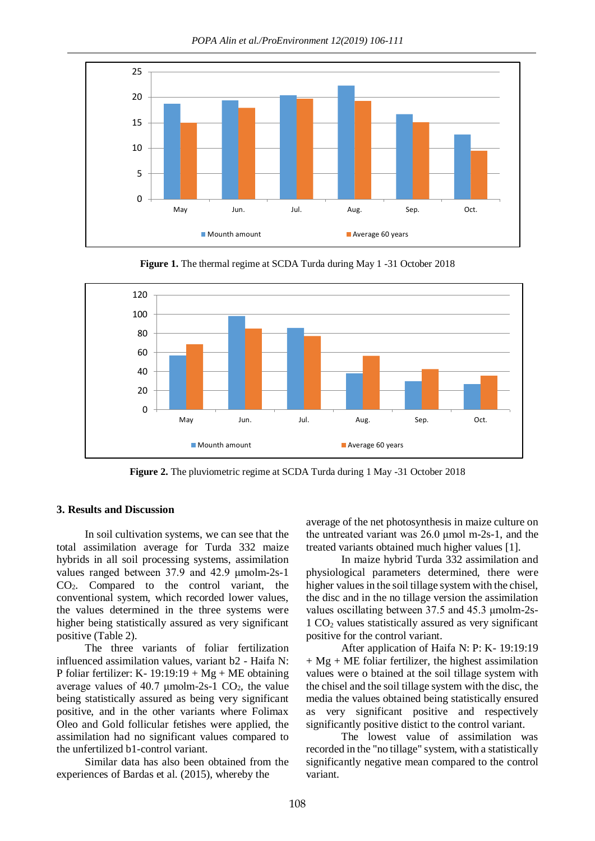*POPA Alin et al./ProEnvironment 12(2019) 106-111*



**Figure 1.** The thermal regime at SCDA Turda during May 1 -31 October 2018



**Figure 2.** The pluviometric regime at SCDA Turda during 1 May -31 October 2018

### **3. Results and Discussion**

In soil cultivation systems, we can see that the total assimilation average for Turda 332 maize hybrids in all soil processing systems, assimilation values ranged between 37.9 and 42.9 μmolm-2s-1 CO2. Compared to the control variant, the conventional system, which recorded lower values, the values determined in the three systems were higher being statistically assured as very significant positive (Table 2).

The three variants of foliar fertilization influenced assimilation values, variant b2 - Haifa N: P foliar fertilizer: K- 19:19:19 + Mg + ME obtaining average values of 40.7  $\mu$ molm-2s-1 CO<sub>2</sub>, the value being statistically assured as being very significant positive, and in the other variants where Folimax Oleo and Gold follicular fetishes were applied, the assimilation had no significant values compared to the unfertilized b1-control variant.

Similar data has also been obtained from the experiences of Bardas et al. (2015), whereby the

average of the net photosynthesis in maize culture on the untreated variant was 26.0 μmol m-2s-1, and the treated variants obtained much higher values [1].

In maize hybrid Turda 332 assimilation and physiological parameters determined, there were higher values in the soil tillage system with the chisel, the disc and in the no tillage version the assimilation values oscillating between 37.5 and 45.3 μmolm-2s- $1 \text{ CO}_2$  values statistically assured as very significant positive for the control variant.

After application of Haifa N: P: K- 19:19:19  $+ Mg + ME$  foliar fertilizer, the highest assimilation values were o btained at the soil tillage system with the chisel and the soil tillage system with the disc, the media the values obtained being statistically ensured as very significant positive and respectively significantly positive distict to the control variant.

The lowest value of assimilation was recorded in the "no tillage" system, with a statistically significantly negative mean compared to the control variant.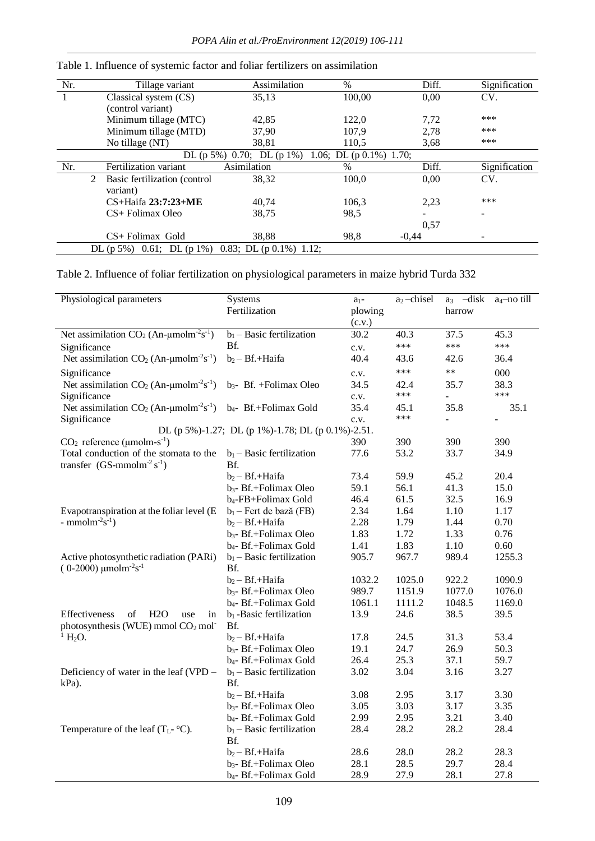| Nr. |                                                          | Tillage variant              | Assimilation              | %                           | Diff.   | Signification |
|-----|----------------------------------------------------------|------------------------------|---------------------------|-----------------------------|---------|---------------|
|     |                                                          | Classical system (CS)        | 35,13                     | 100,00                      | 0,00    | CV.           |
|     |                                                          | (control variant)            |                           |                             |         |               |
|     |                                                          | Minimum tillage (MTC)        | 42,85                     | 122.0                       | 7,72    | ***           |
|     |                                                          | Minimum tillage (MTD)        | 37,90                     | 107.9                       | 2,78    | ***           |
|     |                                                          | No tillage (NT)              | 38,81                     | 110,5                       | 3.68    | ***           |
|     |                                                          |                              | DL (p 5%) 0.70; DL (p 1%) | 1.06; DL $(p 0.1\%) 1.70$ ; |         |               |
| Nr. |                                                          | Fertilization variant        | Asimilation               | $\%$                        | Diff.   | Signification |
|     | 2                                                        | Basic fertilization (control | 38,32                     | 100,0                       | 0,00    | CV.           |
|     |                                                          | variant)                     |                           |                             |         |               |
|     |                                                          | $CS+Haifa 23:7:23+ME$        | 40,74                     | 106.3                       | 2,23    | ***           |
|     |                                                          | CS+ Folimax Oleo             | 38,75                     | 98,5                        |         |               |
|     |                                                          |                              |                           |                             | 0,57    |               |
|     |                                                          | $CS$ + Folimax Gold          | 38.88                     | 98.8                        | $-0.44$ |               |
|     | 0.83; DL $(p 0.1\%) 1.12$ ;<br>DL (p 5%) 0.61; DL (p 1%) |                              |                           |                             |         |               |

Table 1. Influence of systemic factor and foliar fertilizers on assimilation

Table 2. Influence of foliar fertilization on physiological parameters in maize hybrid Turda 332

| Physiological parameters                                                | <b>Systems</b>                                    | $a_1$ - | $a_2$ -chisel | $a_3$ -disk    | a <sub>4</sub> -no till  |
|-------------------------------------------------------------------------|---------------------------------------------------|---------|---------------|----------------|--------------------------|
|                                                                         | Fertilization                                     | plowing |               | harrow         |                          |
|                                                                         |                                                   | (c.v.)  |               |                |                          |
| Net assimilation $CO_2$ (An- $\mu$ molm <sup>-2</sup> s <sup>-1</sup> ) | $b_1$ – Basic fertilization                       | 30.2    | 40.3          | 37.5           | 45.3                     |
| Significance                                                            | Bf.                                               | c.v.    | $***$         | ***            | ***                      |
| Net assimilation $CO_2$ (An- $\mu$ molm <sup>-2</sup> s <sup>-1</sup> ) | $b_2 - Bf. + Haifa$                               | 40.4    | 43.6          | 42.6           | 36.4                     |
| Significance                                                            |                                                   | c.v.    | $***$         | $**$           | 000                      |
| Net assimilation $CO_2$ (An- $\mu$ molm <sup>-2</sup> s <sup>-1</sup> ) | $b_3$ - Bf. + Folimax Oleo                        | 34.5    | 42.4          | 35.7           | 38.3                     |
| Significance                                                            |                                                   | c.v.    | $***$         | $\blacksquare$ | ***                      |
| Net assimilation $CO_2$ (An- $\mu$ molm <sup>-2</sup> s <sup>-1</sup> ) | b <sub>4</sub> - Bf.+Folimax Gold                 | 35.4    | 45.1          | 35.8           | 35.1                     |
| Significance                                                            |                                                   | c.v.    | ***           | $\overline{a}$ | $\overline{\phantom{0}}$ |
|                                                                         | DL (p 5%)-1.27; DL (p 1%)-1.78; DL (p 0.1%)-2.51. |         |               |                |                          |
| $CO2$ reference (µmolm-s <sup>-1</sup> )                                |                                                   | 390     | 390           | 390            | 390                      |
| Total conduction of the stomata to the                                  | $b_1$ – Basic fertilization                       | 77.6    | 53.2          | 33.7           | 34.9                     |
| transfer $(GS\text{-mmolm}^{-2} s^{-1})$                                | Bf.                                               |         |               |                |                          |
|                                                                         | $b_2 - Bf. + Haifa$                               | 73.4    | 59.9          | 45.2           | 20.4                     |
|                                                                         | $b_3$ - Bf.+Folimax Oleo                          | 59.1    | 56.1          | 41.3           | 15.0                     |
|                                                                         | b <sub>4</sub> -FB+Folimax Gold                   | 46.4    | 61.5          | 32.5           | 16.9                     |
| Evapotranspiration at the foliar level (E                               | $b_1$ – Fert de bază (FB)                         | 2.34    | 1.64          | 1.10           | 1.17                     |
| - mmolm <sup>-2</sup> s <sup>-1</sup> )                                 | $b_2 - Bf. + Haifa$                               | 2.28    | 1.79          | 1.44           | 0.70                     |
|                                                                         | $b_3$ - Bf.+Folimax Oleo                          | 1.83    | 1.72          | 1.33           | 0.76                     |
|                                                                         | b <sub>4</sub> -Bf.+Folimax Gold                  | 1.41    | 1.83          | 1.10           | 0.60                     |
| Active photosynthetic radiation (PARi)                                  | $b_1$ – Basic fertilization                       | 905.7   | 967.7         | 989.4          | 1255.3                   |
| $(0-2000)$ µmolm <sup>-2</sup> s <sup>-1</sup>                          | Bf.                                               |         |               |                |                          |
|                                                                         | $b_2 - Bf. + Haifa$                               | 1032.2  | 1025.0        | 922.2          | 1090.9                   |
|                                                                         | $b_3$ - Bf.+Folimax Oleo                          | 989.7   | 1151.9        | 1077.0         | 1076.0                   |
|                                                                         | b <sub>4</sub> -Bf.+Folimax Gold                  | 1061.1  | 1111.2        | 1048.5         | 1169.0                   |
| Effectiveness<br>of<br>H2O<br>use<br>in                                 | $b_1$ -Basic fertilization                        | 13.9    | 24.6          | 38.5           | 39.5                     |
| photosynthesis (WUE) mmol $CO2$ mol-                                    | Bf.                                               |         |               |                |                          |
| $^1$ H <sub>2</sub> O.                                                  | $b_2 - Bf. + Haifa$                               | 17.8    | 24.5          | 31.3           | 53.4                     |
|                                                                         | b <sub>3</sub> - Bf.+Folimax Oleo                 | 19.1    | 24.7          | 26.9           | 50.3                     |
|                                                                         | b <sub>4</sub> -Bf.+Folimax Gold                  | 26.4    | 25.3          | 37.1           | 59.7                     |
| Deficiency of water in the leaf (VPD –                                  | $b_1$ – Basic fertilization                       | 3.02    | 3.04          | 3.16           | 3.27                     |
| kPa).                                                                   | Bf.                                               |         |               |                |                          |
|                                                                         | $b_2 - Bf. + Haifa$                               | 3.08    | 2.95          | 3.17           | 3.30                     |
|                                                                         | $b_3$ - Bf.+Folimax Oleo                          | 3.05    | 3.03          | 3.17           | 3.35                     |
|                                                                         | b <sub>4</sub> -Bf.+Folimax Gold                  | 2.99    | 2.95          | 3.21           | 3.40                     |
| Temperature of the leaf $(T_L$ - $\rm ^oC)$ .                           | $b_1$ – Basic fertilization<br>Bf.                | 28.4    | 28.2          | 28.2           | 28.4                     |
|                                                                         | $b_2 - Bf. + Haifa$                               | 28.6    | 28.0          | 28.2           | 28.3                     |
|                                                                         | b <sub>3</sub> - Bf.+Folimax Oleo                 | 28.1    | 28.5          | 29.7           | 28.4                     |
|                                                                         | $b_4$ - Bf.+Folimax Gold                          | 28.9    | 27.9          | 28.1           | 27.8                     |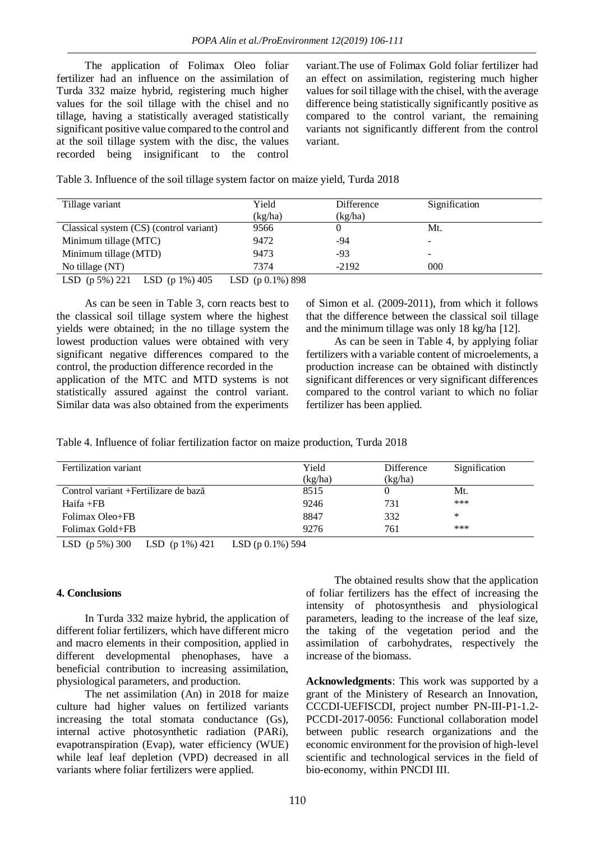The application of Folimax Oleo foliar fertilizer had an influence on the assimilation of Turda 332 maize hybrid, registering much higher values for the soil tillage with the chisel and no tillage, having a statistically averaged statistically significant positive value compared to the control and at the soil tillage system with the disc, the values recorded being insignificant to the control

variant.The use of Folimax Gold foliar fertilizer had an effect on assimilation, registering much higher values for soil tillage with the chisel, with the average difference being statistically significantly positive as compared to the control variant, the remaining variants not significantly different from the control variant.

Table 3. Influence of the soil tillage system factor on maize yield, Turda 2018

| Tillage variant                         | Yield               | Difference | Signification            |  |
|-----------------------------------------|---------------------|------------|--------------------------|--|
|                                         | (kg/ha)             | (kg/ha)    |                          |  |
| Classical system (CS) (control variant) | 9566                |            | Mt.                      |  |
| Minimum tillage (MTC)                   | 9472                | -94        | $\overline{\phantom{0}}$ |  |
| Minimum tillage (MTD)                   | 9473                | -93        | $\overline{\phantom{0}}$ |  |
| No tillage (NT)                         | 7374                | $-2192$    | 000                      |  |
| LSD $(p 5\%) 221$<br>LSD (p $1\%$ ) 405 | LSD $(p 0.1\%) 898$ |            |                          |  |

As can be seen in Table 3, corn reacts best to the classical soil tillage system where the highest yields were obtained; in the no tillage system the lowest production values were obtained with very significant negative differences compared to the control, the production difference recorded in the application of the MTC and MTD systems is not statistically assured against the control variant. Similar data was also obtained from the experiments

of Simon et al. (2009-2011), from which it follows that the difference between the classical soil tillage and the minimum tillage was only 18 kg/ha [12].

As can be seen in Table 4, by applying foliar fertilizers with a variable content of microelements, a production increase can be obtained with distinctly significant differences or very significant differences compared to the control variant to which no foliar fertilizer has been applied.

Table 4. Influence of foliar fertilization factor on maize production, Turda 2018

| Fertilization variant                 | Yield<br>(kg/ha) | Difference<br>(kg/ha) | Signification |
|---------------------------------------|------------------|-----------------------|---------------|
| Control variant + Fertilizare de bază | 8515             |                       | Mt.           |
| $Haifa + FB$                          | 9246             | 731                   | ***           |
| Folimax Oleo+FB                       | 8847             | 332                   | $\ast$        |
| Folimax Gold+FB                       | 9276             | 761                   | ***           |

LSD (p 5%) 300 LSD (p 1%) 421 LSD (p 0.1%) 594

#### **4. Conclusions**

In Turda 332 maize hybrid, the application of different foliar fertilizers, which have different micro and macro elements in their composition, applied in different developmental phenophases, have a beneficial contribution to increasing assimilation, physiological parameters, and production.

The net assimilation (An) in 2018 for maize culture had higher values on fertilized variants increasing the total stomata conductance (Gs), internal active photosynthetic radiation (PARi), evapotranspiration (Evap), water efficiency (WUE) while leaf leaf depletion (VPD) decreased in all variants where foliar fertilizers were applied.

The obtained results show that the application of foliar fertilizers has the effect of increasing the intensity of photosynthesis and physiological parameters, leading to the increase of the leaf size, the taking of the vegetation period and the assimilation of carbohydrates, respectively the increase of the biomass.

**Acknowledgments**: This work was supported by a grant of the Ministery of Research an Innovation, CCCDI-UEFISCDI, project number PN-III-P1-1.2- PCCDI-2017-0056: Functional collaboration model between public research organizations and the economic environment for the provision of high-level scientific and technological services in the field of bio-economy, within PNCDI III.